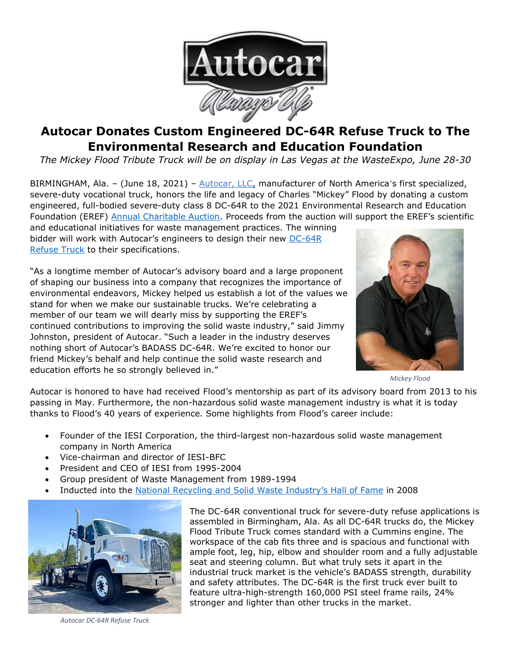

## **Autocar Donates Custom Engineered DC-64R Refuse Truck to The Environmental Research and Education Foundation**

*The Mickey Flood Tribute Truck will be on display in Las Vegas at the WasteExpo, June 28-30*

BIRMINGHAM, Ala. - (June 18, 2021) - [Autocar, LLC,](https://www.autocartruck.com/about-us/?utm_source=Press%20Release&utm_medium=Mickey%20Flood%20Tribute%20Truck&utm_campaign=Autocar%20Donates%20Custom%20Engineered%20DC-64R%20Refuse%20Truck%20to%20The%20Environmental%20Research%20and%20Education%20Foundation) manufacturer of North America's first specialized, severe-duty vocational truck, honors the life and legacy of Charles "Mickey" Flood by donating a custom engineered, full-bodied severe-duty class 8 DC-64R to the 2021 Environmental Research and Education Foundation (EREF) [Annual Charitable Auction.](https://erefdn.org/event/2021-eref-annual-charitable-auction/#1502904662946-e2135c50-47d9308e-4c9fe09b-7923) Proceeds from the auction will support the EREF's scientific and educational initiatives for waste management practices. The winning

bidder will work with Autocar's engineers to design their new [DC-64R](https://www.autocartruck.com/dc/?utm_source=Press%20Release&utm_medium=Mickey%20Flood%20Tribute%20Truck&utm_campaign=Autocar%20Donates%20Custom%20Engineered%20DC-64R%20Refuse%20Truck%20to%20The%20Environmental%20Research%20and%20Education%20Foundation) [Refuse Truck](https://www.autocartruck.com/dc/?utm_source=Press%20Release&utm_medium=Mickey%20Flood%20Tribute%20Truck&utm_campaign=Autocar%20Donates%20Custom%20Engineered%20DC-64R%20Refuse%20Truck%20to%20The%20Environmental%20Research%20and%20Education%20Foundation) to their specifications.

"As a longtime member of Autocar's advisory board and a large proponent of shaping our business into a company that recognizes the importance of environmental endeavors, Mickey helped us establish a lot of the values we stand for when we make our sustainable trucks. We're celebrating a member of our team we will dearly miss by supporting the EREF's continued contributions to improving the solid waste industry," said Jimmy Johnston, president of Autocar. "Such a leader in the industry deserves nothing short of Autocar's BADASS DC-64R. We're excited to honor our friend Mickey's behalf and help continue the solid waste research and education efforts he so strongly believed in."



*Mickey Flood*

Autocar is honored to have had received Flood's mentorship as part of its advisory board from 2013 to his passing in May. Furthermore, the non-hazardous solid waste management industry is what it is today thanks to Flood's 40 years of experience. Some highlights from Flood's career include:

- Founder of the IESI Corporation, the third-largest non-hazardous solid waste management company in North America
- Vice-chairman and director of IESI-BFC
- President and CEO of IESI from 1995-2004
- Group president of Waste Management from 1989-1994
- Inducted into the [National Recycling and Solid Waste Industry's Hall of Fame](https://wasterecycling.org/hall-of-fame/#1602809149141-5cbfc2d7-e2dd) in 2008



*Autocar DC-64R Refuse Truck*

The DC-64R conventional truck for severe-duty refuse applications is assembled in Birmingham, Ala. As all DC-64R trucks do, the Mickey Flood Tribute Truck comes standard with a Cummins engine. The workspace of the cab fits three and is spacious and functional with ample foot, leg, hip, elbow and shoulder room and a fully adjustable seat and steering column. But what truly sets it apart in the industrial truck market is the vehicle's BADASS strength, durability and safety attributes. The DC-64R is the first truck ever built to feature ultra-high-strength 160,000 PSI steel frame rails, 24% stronger and lighter than other trucks in the market.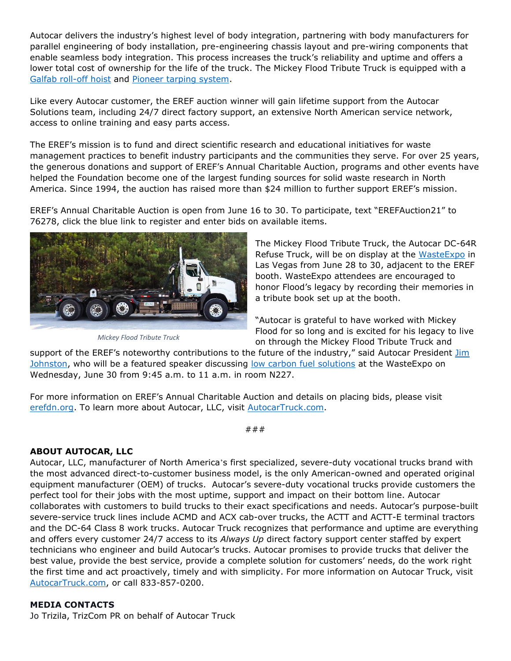Autocar delivers the industry's highest level of body integration, partnering with body manufacturers for parallel engineering of body installation, pre-engineering chassis layout and pre-wiring components that enable seamless body integration. This process increases the truck's reliability and uptime and offers a lower total cost of ownership for the life of the truck. The Mickey Flood Tribute Truck is equipped with a [Galfab roll-off hoist](https://www.galfab.com/products/roll-off-hoists/) and [Pioneer tarping system.](https://pioneercoverall.com/)

Like every Autocar customer, the EREF auction winner will gain lifetime support from the Autocar Solutions team, including 24/7 direct factory support, an extensive North American service network, access to online training and easy parts access.

The EREF's mission is to fund and direct scientific research and educational initiatives for waste management practices to benefit industry participants and the communities they serve. For over 25 years, the generous donations and support of EREF's Annual Charitable Auction, programs and other events have helped the Foundation become one of the largest funding sources for solid waste research in North America. Since 1994, the auction has raised more than \$24 million to further support EREF's mission.

EREF's Annual Charitable Auction is open from June 16 to 30. To participate, text "EREFAuction21" to 76278, click the blue link to register and enter bids on available items.



*Mickey Flood Tribute Truck*

The Mickey Flood Tribute Truck, the Autocar DC-64R Refuse Truck, will be on display at the [WasteExpo](https://www.wasteexpo.com/en/home.html) in Las Vegas from June 28 to 30, adjacent to the EREF booth. WasteExpo attendees are encouraged to honor Flood's legacy by recording their memories in a tribute book set up at the booth.

"Autocar is grateful to have worked with Mickey Flood for so long and is excited for his legacy to live on through the Mickey Flood Tribute Truck and

support of the EREF's noteworthy contributions to the future of the industry," said Autocar President *Jim* [Johnston,](https://www.wasteexpo.com/en/conference-and-events/speakers.html) who will be a featured speaker discussing [low carbon fuel solutions](https://www.wasteexpo.com/en/conference-and-events/speakers.html) at the WasteExpo on Wednesday, June 30 from 9:45 a.m. to 11 a.m. in room N227.

For more information on EREF's Annual Charitable Auction and details on placing bids, please visit [erefdn.org.](https://erefdn.org/event/2021-eref-annual-charitable-auction/#1502904723462-50e04530-4756308e-4c9fe09b-7923) To learn more about Autocar, LLC, visit [AutocarTruck.com.](https://www.autocartruck.com/about-us/?utm_source=Press%20Release&utm_medium=Autocar&utm_campaign=Autocar%20Donates%20Custom%20Engineered%20DC-64R%20Refuse%20Truck%20to%20The%20Environmental%20Research%20and%20Education%20Foundation)

###

## **ABOUT AUTOCAR, LLC**

Autocar, LLC, manufacturer of North America's first specialized, severe-duty vocational trucks brand with the most advanced direct-to-customer business model, is the only American-owned and operated original equipment manufacturer (OEM) of trucks. Autocar's severe-duty vocational trucks provide customers the perfect tool for their jobs with the most uptime, support and impact on their bottom line. Autocar collaborates with customers to build trucks to their exact specifications and needs. Autocar's purpose-built severe-service truck lines include ACMD and ACX cab-over trucks, the ACTT and ACTT-E terminal tractors and the DC-64 Class 8 work trucks. Autocar Truck recognizes that performance and uptime are everything and offers every customer 24/7 access to its *Always Up* direct factory support center staffed by expert technicians who engineer and build Autocar's trucks. Autocar promises to provide trucks that deliver the best value, provide the best service, provide a complete solution for customers' needs, do the work right the first time and act proactively, timely and with simplicity. For more information on Autocar Truck, visit [AutocarTruck.com,](https://bit.ly/3iKIwIa) or call 833-857-0200.

## **MEDIA CONTACTS**

Jo Trizila, TrizCom PR on behalf of Autocar Truck